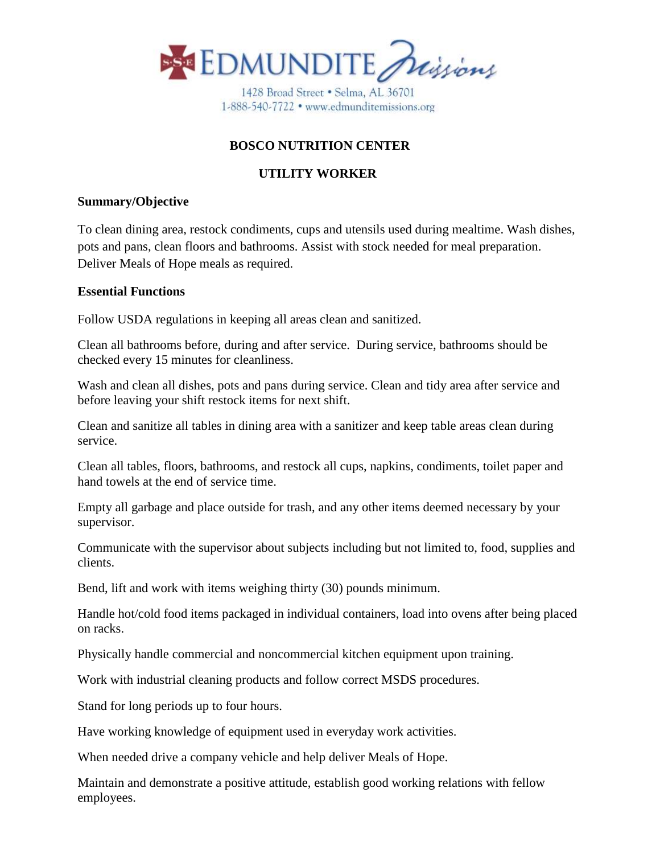

1428 Broad Street . Selma, AL 36701 1-888-540-7722 · www.edmunditemissions.org

# **BOSCO NUTRITION CENTER**

## **UTILITY WORKER**

#### **Summary/Objective**

To clean dining area, restock condiments, cups and utensils used during mealtime. Wash dishes, pots and pans, clean floors and bathrooms. Assist with stock needed for meal preparation. Deliver Meals of Hope meals as required.

#### **Essential Functions**

Follow USDA regulations in keeping all areas clean and sanitized.

Clean all bathrooms before, during and after service. During service, bathrooms should be checked every 15 minutes for cleanliness.

Wash and clean all dishes, pots and pans during service. Clean and tidy area after service and before leaving your shift restock items for next shift.

Clean and sanitize all tables in dining area with a sanitizer and keep table areas clean during service.

Clean all tables, floors, bathrooms, and restock all cups, napkins, condiments, toilet paper and hand towels at the end of service time.

Empty all garbage and place outside for trash, and any other items deemed necessary by your supervisor.

Communicate with the supervisor about subjects including but not limited to, food, supplies and clients.

Bend, lift and work with items weighing thirty (30) pounds minimum.

Handle hot/cold food items packaged in individual containers, load into ovens after being placed on racks.

Physically handle commercial and noncommercial kitchen equipment upon training.

Work with industrial cleaning products and follow correct MSDS procedures.

Stand for long periods up to four hours.

Have working knowledge of equipment used in everyday work activities.

When needed drive a company vehicle and help deliver Meals of Hope.

Maintain and demonstrate a positive attitude, establish good working relations with fellow employees.